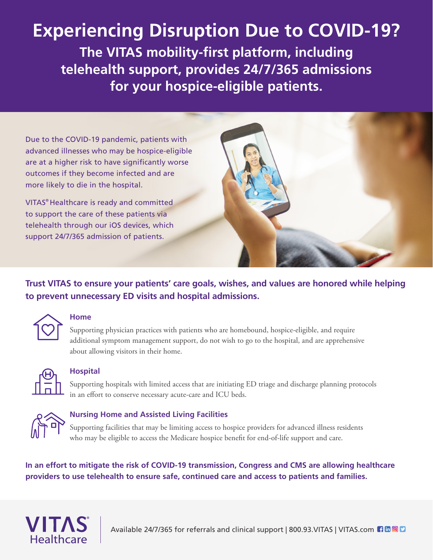### **Experiencing Disruption Due to COVID-19?**

**The VITAS mobility-first platform, including telehealth support, provides 24/7/365 admissions for your hospice-eligible patients.**

Due to the COVID-19 pandemic, patients with advanced illnesses who may be hospice-eligible are at a higher risk to have significantly worse outcomes if they become infected and are more likely to die in the hospital.

VITAS® Healthcare is ready and committed to support the care of these patients via telehealth through our iOS devices, which support 24/7/365 admission of patients.



### **Trust VITAS to ensure your patients' care goals, wishes, and values are honored while helping to prevent unnecessary ED visits and hospital admissions.**



#### **Home**

Supporting physician practices with patients who are homebound, hospice-eligible, and require additional symptom management support, do not wish to go to the hospital, and are apprehensive about allowing visitors in their home.



#### **Hospital**

Supporting hospitals with limited access that are initiating ED triage and discharge planning protocols in an effort to conserve necessary acute-care and ICU beds.



#### **Nursing Home and Assisted Living Facilities**

Supporting facilities that may be limiting access to hospice providers for advanced illness residents who may be eligible to access the Medicare hospice benefit for end-of-life support and care.

**In an effort to mitigate the risk of COVID-19 transmission, Congress and CMS are allowing healthcare providers to use telehealth to ensure safe, continued care and access to patients and families.**